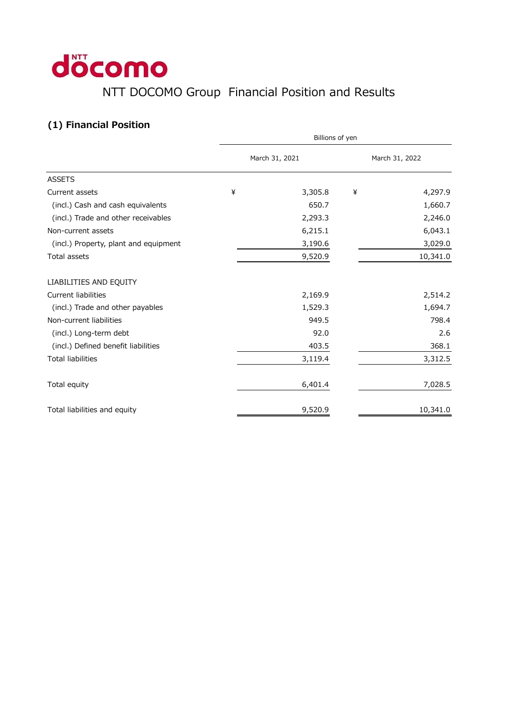## döcomo NTT DOCOMO Group Financial Position and Results

## **(1) Financial Position**

|                                       | Billions of yen |         |                |          |  |
|---------------------------------------|-----------------|---------|----------------|----------|--|
|                                       | March 31, 2021  |         | March 31, 2022 |          |  |
| <b>ASSETS</b>                         |                 |         |                |          |  |
| Current assets                        | ¥               | 3,305.8 | ¥              | 4,297.9  |  |
| (incl.) Cash and cash equivalents     |                 | 650.7   |                | 1,660.7  |  |
| (incl.) Trade and other receivables   |                 | 2,293.3 |                | 2,246.0  |  |
| Non-current assets                    |                 | 6,215.1 |                | 6,043.1  |  |
| (incl.) Property, plant and equipment |                 | 3,190.6 |                | 3,029.0  |  |
| Total assets                          |                 | 9,520.9 |                | 10,341.0 |  |
| LIABILITIES AND EQUITY                |                 |         |                |          |  |
| <b>Current liabilities</b>            |                 | 2,169.9 |                | 2,514.2  |  |
| (incl.) Trade and other payables      |                 | 1,529.3 |                | 1,694.7  |  |
| Non-current liabilities               |                 | 949.5   |                | 798.4    |  |
| (incl.) Long-term debt                |                 | 92.0    |                | 2.6      |  |
| (incl.) Defined benefit liabilities   |                 | 403.5   |                | 368.1    |  |
| <b>Total liabilities</b>              |                 | 3,119.4 |                | 3,312.5  |  |
| Total equity                          |                 | 6,401.4 |                | 7,028.5  |  |
| Total liabilities and equity          |                 | 9,520.9 |                | 10,341.0 |  |